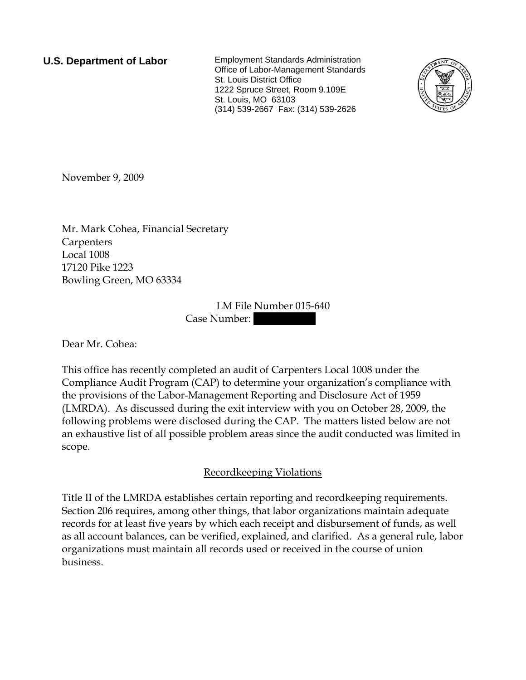**U.S. Department of Labor** Employment Standards Administration Office of Labor-Management Standards St. Louis District Office 1222 Spruce Street, Room 9.109E St. Louis, MO 63103 (314) 539-2667 Fax: (314) 539-2626



November 9, 2009

Mr. Mark Cohea, Financial Secretary **Carpenters** Local 1008 17120 Pike 1223 Bowling Green, MO 63334

> LM File Number 015-640 Case Number:

Dear Mr. Cohea:

This office has recently completed an audit of Carpenters Local 1008 under the Compliance Audit Program (CAP) to determine your organization's compliance with the provisions of the Labor-Management Reporting and Disclosure Act of 1959 (LMRDA). As discussed during the exit interview with you on October 28, 2009, the following problems were disclosed during the CAP. The matters listed below are not an exhaustive list of all possible problem areas since the audit conducted was limited in scope.

## Recordkeeping Violations

Title II of the LMRDA establishes certain reporting and recordkeeping requirements. Section 206 requires, among other things, that labor organizations maintain adequate records for at least five years by which each receipt and disbursement of funds, as well as all account balances, can be verified, explained, and clarified. As a general rule, labor organizations must maintain all records used or received in the course of union business.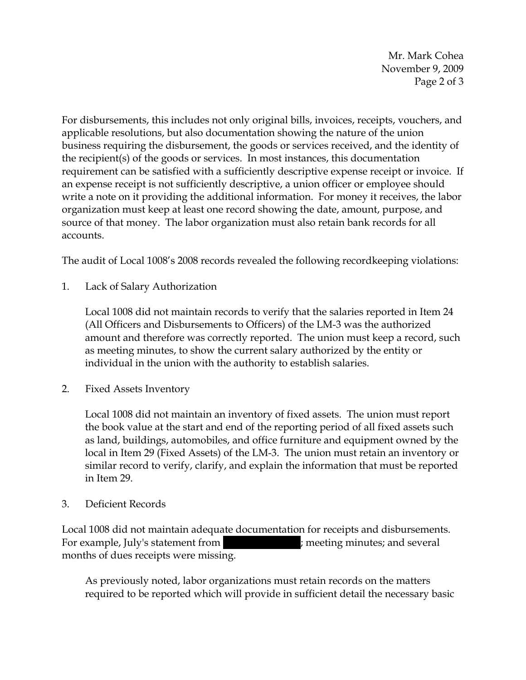Mr. Mark Cohea November 9, 2009 Page 2 of 3

For disbursements, this includes not only original bills, invoices, receipts, vouchers, and applicable resolutions, but also documentation showing the nature of the union business requiring the disbursement, the goods or services received, and the identity of the recipient(s) of the goods or services. In most instances, this documentation requirement can be satisfied with a sufficiently descriptive expense receipt or invoice. If an expense receipt is not sufficiently descriptive, a union officer or employee should write a note on it providing the additional information. For money it receives, the labor organization must keep at least one record showing the date, amount, purpose, and source of that money. The labor organization must also retain bank records for all accounts.

The audit of Local 1008's 2008 records revealed the following recordkeeping violations:

1. Lack of Salary Authorization

Local 1008 did not maintain records to verify that the salaries reported in Item 24 (All Officers and Disbursements to Officers) of the LM-3 was the authorized amount and therefore was correctly reported. The union must keep a record, such as meeting minutes, to show the current salary authorized by the entity or individual in the union with the authority to establish salaries.

2. Fixed Assets Inventory

 Local 1008 did not maintain an inventory of fixed assets. The union must report the book value at the start and end of the reporting period of all fixed assets such as land, buildings, automobiles, and office furniture and equipment owned by the local in Item 29 (Fixed Assets) of the LM-3. The union must retain an inventory or similar record to verify, clarify, and explain the information that must be reported in Item 29.

3. Deficient Records

Local 1008 did not maintain adequate documentation for receipts and disbursements. For example, July's statement from  $|$ ; meeting minutes; and several months of dues receipts were missing.

As previously noted, labor organizations must retain records on the matters required to be reported which will provide in sufficient detail the necessary basic